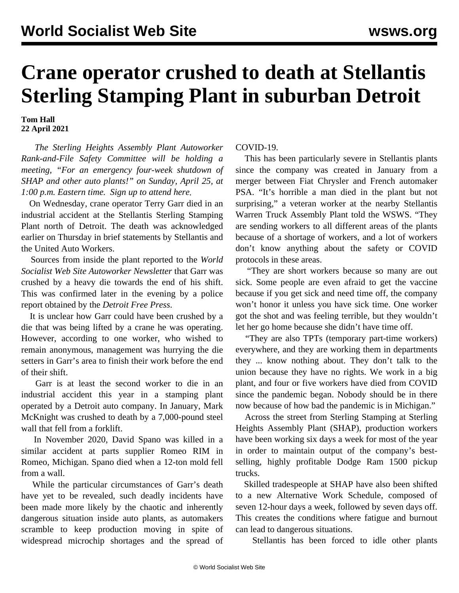## **Crane operator crushed to death at Stellantis Sterling Stamping Plant in suburban Detroit**

**Tom Hall 22 April 2021**

 *The Sterling Heights Assembly Plant Autoworker Rank-and-File Safety Committee will be holding a meeting, "For an emergency four-week shutdown of SHAP and other auto plants!" on Sunday, April 25, at 1:00 p.m. Eastern time. [Sign up to attend here.](https://register.gotowebinar.com/register/6399491240180133389)*

 On Wednesday, crane operator Terry Garr died in an industrial accident at the Stellantis Sterling Stamping Plant north of Detroit. The death was acknowledged earlier on Thursday in brief statements by Stellantis and the United Auto Workers.

 Sources from inside the plant reported to the *World Socialist Web Site Autoworker Newsletter* that Garr was crushed by a heavy die towards the end of his shift. This was confirmed later in the evening by a police report obtained by the *Detroit Free Press*.

 It is unclear how Garr could have been crushed by a die that was being lifted by a crane he was operating. However, according to one worker, who wished to remain anonymous, management was hurrying the die setters in Garr's area to finish their work before the end of their shift.

 Garr is at least the second worker to die in an industrial accident this year in a stamping plant operated by a Detroit auto company. In January, [Mark](/en/articles/2021/01/04/gm-j04.html) [McKnight](/en/articles/2021/01/04/gm-j04.html) was crushed to death by a 7,000-pound steel wall that fell from a forklift.

 In November 2020, [David Spano](/en/articles/2020/11/14/part-n14.html) was killed in a similar accident at parts supplier Romeo RIM in Romeo, Michigan. Spano died when a 12-ton mold fell from a wall.

 While the particular circumstances of Garr's death have yet to be revealed, such deadly incidents have been made more likely by the chaotic and inherently dangerous situation inside auto plants, as automakers scramble to keep production moving in spite of widespread microchip shortages and the spread of COVID-19.

 This has been particularly severe in Stellantis plants since the company was created in January from a merger between Fiat Chrysler and French automaker PSA. "It's horrible a man died in the plant but not surprising," a veteran worker at the nearby Stellantis Warren Truck Assembly Plant told the WSWS. "They are sending workers to all different areas of the plants because of a shortage of workers, and a lot of workers don't know anything about the safety or COVID protocols in these areas.

 "They are short workers because so many are out sick. Some people are even afraid to get the vaccine because if you get sick and need time off, the company won't honor it unless you have sick time. One worker got the shot and was feeling terrible, but they wouldn't let her go home because she didn't have time off.

 "They are also TPTs (temporary part-time workers) everywhere, and they are working them in departments they ... know nothing about. They don't talk to the union because they have no rights. We work in a big plant, and four or five workers have died from COVID since the pandemic began. Nobody should be in there now because of how bad the pandemic is in Michigan."

 Across the street from Sterling Stamping at Sterling Heights Assembly Plant (SHAP), production workers have been working six days a week for most of the year in order to maintain output of the company's bestselling, highly profitable Dodge Ram 1500 pickup trucks.

 Skilled tradespeople at SHAP have also been shifted to a new Alternative Work Schedule, composed of seven 12-hour days a week, followed by seven days off. This creates the conditions where fatigue and burnout can lead to dangerous situations.

Stellantis has been forced to idle other plants